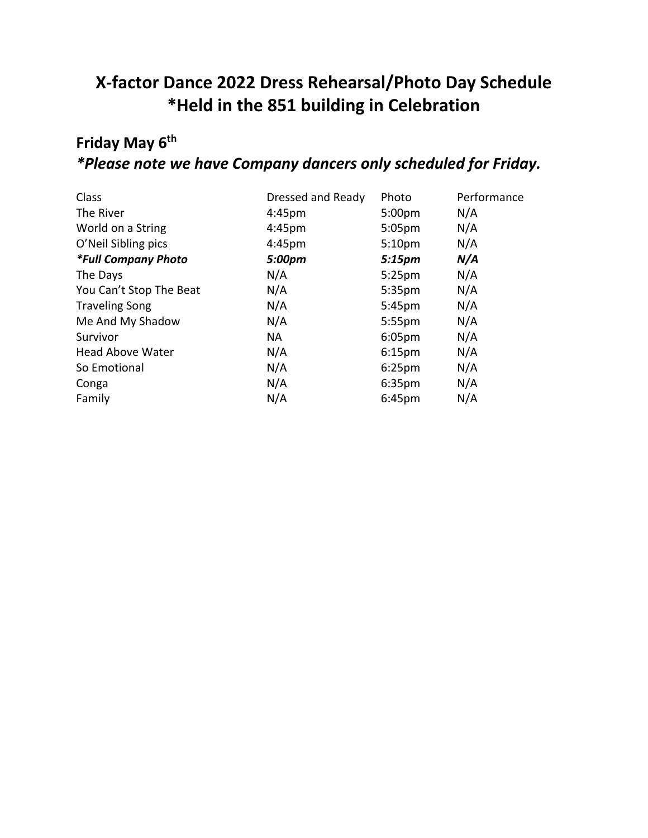# **X-factor Dance 2022 Dress Rehearsal/Photo Day Schedule \*Held in the 851 building in Celebration**

# **Friday May 6th** *\*Please note we have Company dancers only scheduled for Friday.*

| Dressed and Ready  | Photo              | Performance |
|--------------------|--------------------|-------------|
| 4:45pm             | 5:00 <sub>pm</sub> | N/A         |
| 4:45 <sub>pm</sub> | 5:05 <sub>pm</sub> | N/A         |
| 4:45 <sub>pm</sub> | 5:10 <sub>pm</sub> | N/A         |
| 5:00pm             | 5:15 <sub>pm</sub> | N/A         |
| N/A                | 5:25 <sub>pm</sub> | N/A         |
| N/A                | 5:35 <sub>pm</sub> | N/A         |
| N/A                | 5:45pm             | N/A         |
| N/A                | $5:55$ pm          | N/A         |
| <b>NA</b>          | 6:05 <sub>pm</sub> | N/A         |
| N/A                | 6:15 <sub>pm</sub> | N/A         |
| N/A                | 6:25 <sub>pm</sub> | N/A         |
| N/A                | 6:35 <sub>pm</sub> | N/A         |
| N/A                | 6:45 <sub>pm</sub> | N/A         |
|                    |                    |             |